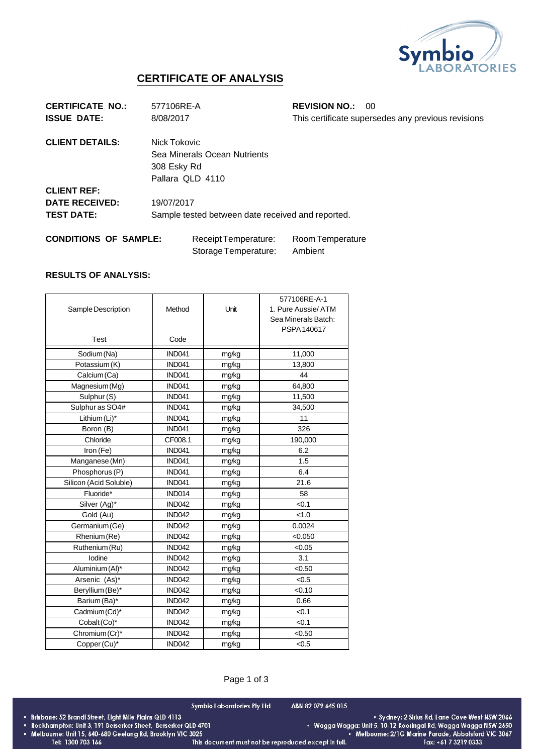

## **CERTIFICATE OF ANALYSIS**

| <b>CERTIFICATE NO.:</b>      | 577106RE-A                                        |                              | <b>REVISION NO.:</b> | -00                                                |
|------------------------------|---------------------------------------------------|------------------------------|----------------------|----------------------------------------------------|
| <b>ISSUE DATE:</b>           | 8/08/2017                                         |                              |                      | This certificate supersedes any previous revisions |
| <b>CLIENT DETAILS:</b>       | Nick Tokovic                                      |                              |                      |                                                    |
|                              |                                                   | Sea Minerals Ocean Nutrients |                      |                                                    |
|                              | 308 Esky Rd                                       |                              |                      |                                                    |
|                              | Pallara QLD 4110                                  |                              |                      |                                                    |
| <b>CLIENT REF:</b>           |                                                   |                              |                      |                                                    |
| <b>DATE RECEIVED:</b>        | 19/07/2017                                        |                              |                      |                                                    |
| <b>TEST DATE:</b>            | Sample tested between date received and reported. |                              |                      |                                                    |
| <b>CONDITIONS OF SAMPLE:</b> |                                                   | Receipt Temperature:         | Room Temperature     |                                                    |
|                              |                                                   | Storage Temperature:         | Ambient              |                                                    |

## **RESULTS OF ANALYSIS:**

|                        |               |       | 577106RE-A-1        |
|------------------------|---------------|-------|---------------------|
| Sample Description     | Method        | Unit  | 1. Pure Aussie/ ATM |
|                        |               |       | Sea Minerals Batch: |
|                        |               |       | PSPA 140617         |
| Test                   | Code          |       |                     |
| Sodium (Na)            | <b>IND041</b> | mg/kg | 11,000              |
| Potassium (K)          | <b>IND041</b> | mg/kg | 13,800              |
| Calcium (Ca)           | <b>IND041</b> | mg/kg | 44                  |
| Magnesium (Mg)         | <b>IND041</b> | mg/kg | 64,800              |
| Sulphur (S)            | IND041        | mg/kg | 11,500              |
| Sulphur as SO4#        | <b>IND041</b> | mg/kg | 34,500              |
| Lithium (Li)*          | <b>IND041</b> | mg/kg | 11                  |
| Boron (B)              | <b>IND041</b> | mg/kg | 326                 |
| Chloride               | CF008.1       | mg/kg | 190,000             |
| Iron (Fe)              | <b>IND041</b> | mg/kg | 6.2                 |
| Manganese (Mn)         | <b>IND041</b> | mg/kg | 1.5                 |
| Phosphorus (P)         | <b>IND041</b> | mg/kg | 6.4                 |
| Silicon (Acid Soluble) | <b>IND041</b> | mg/kg | 21.6                |
| Fluoride*              | <b>IND014</b> | mg/kg | 58                  |
| Silver (Ag)*           | <b>IND042</b> | mg/kg | < 0.1               |
| Gold (Au)              | <b>IND042</b> | mg/kg | < 1.0               |
| Germanium (Ge)         | <b>IND042</b> | mg/kg | 0.0024              |
| Rhenium (Re)           | <b>IND042</b> | mg/kg | < 0.050             |
| Ruthenium (Ru)         | <b>IND042</b> | mg/kg | < 0.05              |
| lodine                 | <b>IND042</b> | mg/kg | 3.1                 |
| Aluminium (Al)*        | <b>IND042</b> | mg/kg | < 0.50              |
| Arsenic (As)*          | <b>IND042</b> | mg/kg | < 0.5               |
| Beryllium (Be)*        | <b>IND042</b> | mg/kg | < 0.10              |
| Barium (Ba)*           | <b>IND042</b> | mg/kg | 0.66                |
| Cadmium (Cd)*          | <b>IND042</b> | mg/kg | < 0.1               |
| Cobalt (Co)*           | <b>IND042</b> | mg/kg | < 0.1               |
| Chromium (Cr)*         | <b>IND042</b> | mg/kg | < 0.50              |
| Copper (Cu)*           | <b>IND042</b> | mg/kg | < 0.5               |

## Page 1 of 3

Symbio Laboratories Pty Ltd

ABN 82 079 645 015

- Brisbane: 52 Brandl Street, Eight Mile Plains QLD 4113<br>• Rockhampton: Unit 3, 191 Berserker Street, Berserker QLD 4701
- \* Melbourne: Unit 15, 640-680 Geelong Rd, Brooklyn VIC 3025
	- Tel: 1300 703 166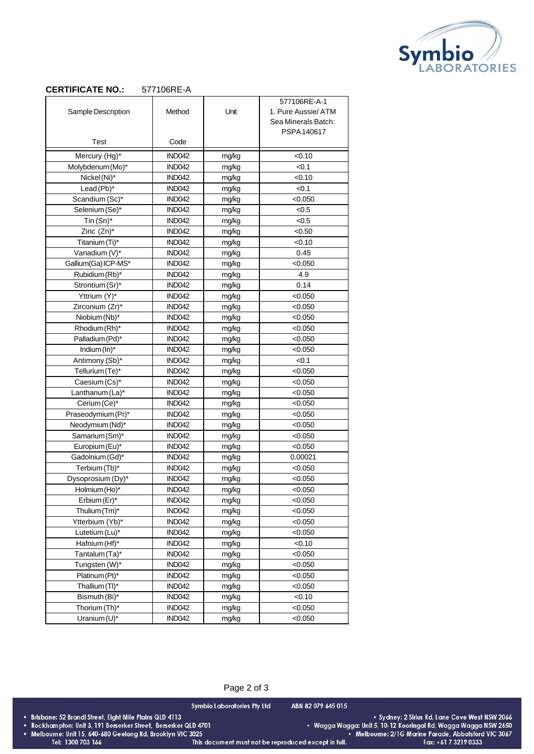

## **CERTIFICATE NO.:** 577106RE-A

|                     |               |       | 577106RE-A-1        |
|---------------------|---------------|-------|---------------------|
| Sample Description  | Method        | Unit  | 1. Pure Aussie/ ATM |
|                     |               |       | Sea Minerals Batch: |
|                     |               |       | PSPA 140617         |
| Test                | Code          |       |                     |
| Mercury (Hg)*       | <b>IND042</b> | mg/kg | < 0.10              |
| Molybdenum (Mo)*    | <b>IND042</b> | mg/kg | < 0.1               |
| Nickel (Ni)*        | <b>IND042</b> | mg/kg | < 0.10              |
| Lead(Pb)*           | <b>IND042</b> | mg/kg | < 0.1               |
| Scandium (Sc)*      | <b>IND042</b> | mg/kg | < 0.050             |
| Selenium (Se)*      | <b>IND042</b> | mg/kg | < 0.5               |
| Tin $(Sn)^*$        | <b>IND042</b> | mg/kg | < 0.5               |
| Zinc (Zn)*          | <b>IND042</b> | mg/kg | < 0.50              |
| Titanium (Ti)*      | <b>IND042</b> | mg/kg | < 0.10              |
| Vanadium (V)*       | <b>IND042</b> | mg/kg | 0.45                |
| Gallium(Ga) ICP-MS* | <b>IND042</b> | mg/kg | < 0.050             |
| Rubidium (Rb)*      | <b>IND042</b> | mg/kg | 4.9                 |
| Strontium (Sr)*     | <b>IND042</b> | mg/kg | 0.14                |
| Yttrium (Y)*        | <b>IND042</b> | mg/kg | < 0.050             |
| Zirconium (Zr)*     | <b>IND042</b> | mg/kg | < 0.050             |
| Niobium (Nb)*       | <b>IND042</b> | mg/kg | < 0.050             |
| Rhodium (Rh)*       | <b>IND042</b> | mg/kg | < 0.050             |
| Palladium (Pd)*     | <b>IND042</b> | mg/kg | < 0.050             |
| Indium (In)*        | <b>IND042</b> | mg/kg | < 0.050             |
| Antimony (Sb)*      | <b>IND042</b> | mg/kg | < 0.1               |
| Tellurium (Te)*     | <b>IND042</b> | mg/kg | < 0.050             |
| Caesium (Cs)*       | <b>IND042</b> | mg/kg | < 0.050             |
| Lanthanum (La)*     | <b>IND042</b> | mg/kg | < 0.050             |
| Cerium (Ce)*        | <b>IND042</b> | mg/kg | < 0.050             |
| Praseodymium (Pr)*  | <b>IND042</b> | mg/kg | < 0.050             |
| Neodymium (Nd)*     | <b>IND042</b> | mg/kg | < 0.050             |
| Samarium (Sm)*      | <b>IND042</b> | mg/kg | < 0.050             |
| Europium (Eu)*      | <b>IND042</b> | mg/kg | < 0.050             |
| Gadolnium (Gd)*     | <b>IND042</b> | mg/kg | 0.00021             |
| Terbium (Tb)*       | <b>IND042</b> | mg/kg | < 0.050             |
| Dysoprosium (Dy)*   | <b>IND042</b> | mg/kg | < 0.050             |
| Holmium (Ho)*       | <b>IND042</b> | mg/kg | < 0.050             |
| Erbium (Er)*        | IND042        | mg/kg | < 0.050             |
| Thulium (Tm)*       | <b>IND042</b> | mg/kg | < 0.050             |
| Ytterbium (Yb)*     | <b>IND042</b> | mg/kg | < 0.050             |
| Lutetium (Lu)*      | <b>IND042</b> | mg/kg | < 0.050             |
| Hafnium (Hf)*       | <b>IND042</b> | mg/kg | < 0.10              |
| Tantalum (Ta)*      | IND042        | mg/kg | < 0.050             |
| Tungsten (W)*       | IND042        | mg/kg | < 0.050             |
| Platinum (Pt)*      | <b>IND042</b> | mg/kg | < 0.050             |
| Thallium (TI)*      | IND042        | mg/kg | < 0.050             |
| Bismuth (Bi)*       | <b>IND042</b> | mg/kg | < 0.10              |
| Thorium (Th)*       | IND042        | mg/kg | < 0.050             |
| Uranium $(U)^*$     | <b>IND042</b> | mg/kg | < 0.050             |

|                                                               | Page 2 of 3                                          |                                                                 |                                                      |
|---------------------------------------------------------------|------------------------------------------------------|-----------------------------------------------------------------|------------------------------------------------------|
|                                                               | Symbio Laboratories Pty Ltd                          | ABN 82 079 645 015                                              |                                                      |
| Brisbane: 52 Brandl Street, Eight Mile Plains QLD 4113        |                                                      |                                                                 | • Sydney: 2 Sirius Rd, Lane Cove West NSW 2066       |
| Rockhampton: Unit 3, 191 Berserker Street, Berserker QLD 4701 |                                                      | • Wagga Wagga: Unit 5, 10-12 Kooringal Rd, Wagga Wagga NSW 2650 |                                                      |
| Melbourne: Unit 15, 640-680 Geelong Rd, Brooklyn VIC 3025     |                                                      |                                                                 | . Melbourne: 2/1G Marine Parade, Abbotsford VIC 3067 |
| Tel: 1300 703 166                                             | This document must not be reproduced except in full. |                                                                 | Fax: $+61$ 7 3219 0333                               |